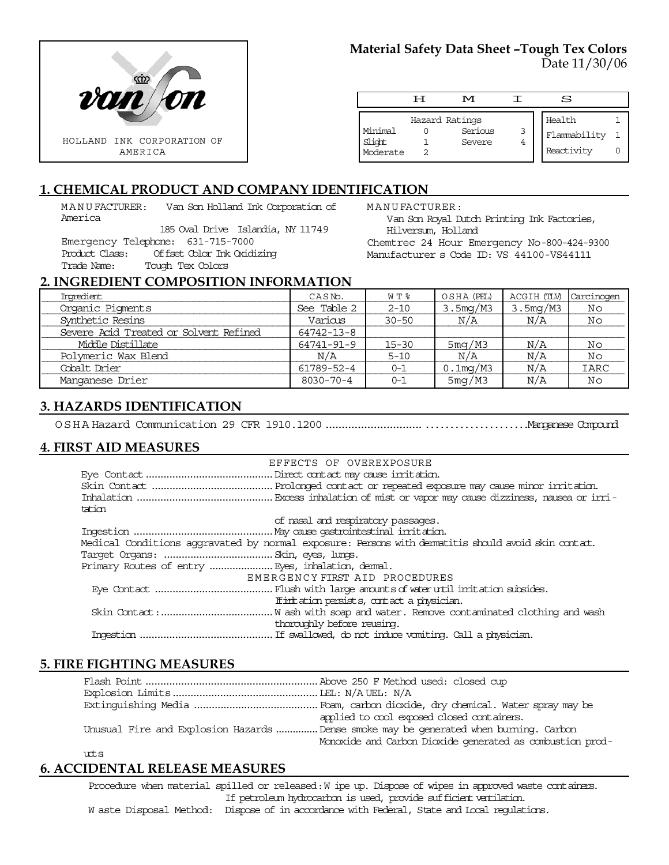

# **Material Safety Data Sheet –Tough Tex Colors** Date 11/30/06

|                               | ਜ | M                                   |        | S                                    |  |
|-------------------------------|---|-------------------------------------|--------|--------------------------------------|--|
| Minimal<br>Slight<br>Moderate |   | Hazard Ratings<br>Serious<br>Severe | 3<br>4 | Health<br>Flammability<br>Reactivity |  |

# **1. CHEMICAL PRODUCT AND COMPANY IDENTIFICATION**

MANUFACTURER: Van Son Holland Ink Corporation of America

185 Oval Drive Islandia, NY 11749 Emergency Telephone: 631-715-7000 Product Class: Offset Color Ink Oxidizing Trade Name: Tough Tex Colors

MANUFACTURER:

Van Son Royal Dutch Printing Ink Factories, Hilversum, Holland

Chemtrec 24 Hour Emergency No-800-424-9300 Manufacturer s Code ID: VS 44100-VS44111

s.

### **2. INGREDIENT COMPOSITION INFORMATION**

| Ingredient                             | CASNo.          | W T %     | OSHA (PEL)  | ACGIH (TLV) | Carcinogen  |
|----------------------------------------|-----------------|-----------|-------------|-------------|-------------|
| Organic Pigments                       | See Table 2     | $2 - 10$  | 3.5mg/M3    | 3.5mg/M3    | No          |
| Synthetic Resins                       | Various         | $30 - 50$ | N/A         | N/A         | No          |
| Severe Acid Treated or Solvent Refined | 64742-13-8      |           |             |             |             |
| Middle Distillate                      | 64741-91-9      | $15 - 30$ | 5mg/M3      | N/A         | No          |
| Polymeric Wax Blend                    | N/A             | $5 - 10$  | N/A         | N/A         | No          |
| Cobalt Drier                           | 61789-52-4      | $0 - 1$   | $0.1$ mg/M3 | N/A         | <b>IARC</b> |
| Manganese Drier                        | $8030 - 70 - 4$ | $0 - 1$   | 5mg/M3      | N/A         | Νo          |

## **3. HAZARDS IDENTIFICATION**

OSHA Hazard Communication 29 CFR 1910.1200...................................................Manganese Compound

## **4. FIRST AID MEASURES**

|        | EFFECTS OF OVEREXPOSURE                                                                            |
|--------|----------------------------------------------------------------------------------------------------|
|        |                                                                                                    |
|        |                                                                                                    |
|        |                                                                                                    |
| tation |                                                                                                    |
|        | of nasal and respiratory passages.                                                                 |
|        |                                                                                                    |
|        | Medical Conditions aggravated by normal exposure: Persons with dematitis should avoid skin contat. |
|        |                                                                                                    |
|        |                                                                                                    |
|        | EMERGENCY FIRST AID PROCEDURES                                                                     |
|        |                                                                                                    |
|        | If initiation persists, contact a physician.                                                       |
|        |                                                                                                    |
|        | thoroughly before reusing.                                                                         |
|        |                                                                                                    |

### **5. FIRE FIGHTING MEASURES**

| applied to cool exposed closed containers.                                            |
|---------------------------------------------------------------------------------------|
| Unusual Fire and Explosion Hazards  Dense smoke may be generated when burning. Carbon |
| Monoxide and Carbon Dioxide generated as combustion prod-                             |
|                                                                                       |

uts

# **6. ACCIDENTAL RELEASE MEASURES**

Procedure when material spilled or released: W ipe up. Dispose of wipes in approved waste containers. If petroleum hydrocarbon is used, provide sufficient ventilation. W aste Disposal Method: Dispose of in accordance with Federal, State and Local regulations.